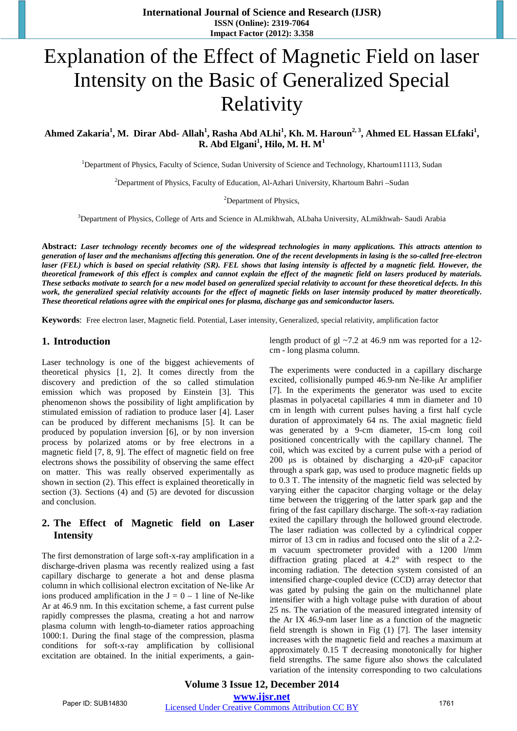# Explanation of the Effect of Magnetic Field on laser Intensity on the Basic of Generalized Special Relativity

Ahmed Zakaria<sup>1</sup>, M. Dirar Abd- Allah<sup>1</sup>, Rasha Abd ALhi<sup>1</sup>, Kh. M. Haroun<sup>2, 3</sup>, Ahmed EL Hassan ELfaki<sup>1</sup>, **R. Abd Elgani<sup>1</sup> , Hilo, M. H. M<sup>1</sup>**

<sup>1</sup>Department of Physics, Faculty of Science, Sudan University of Science and Technology, Khartoum11113, Sudan

2 Department of Physics, Faculty of Education, Al-Azhari University, Khartoum Bahri –Sudan

<sup>2</sup>Department of Physics,

3 Department of Physics, College of Arts and Science in ALmikhwah, ALbaha University, ALmikhwah- Saudi Arabia

**Abstract:** *Laser technology recently becomes one of the widespread technologies in many applications. This attracts attention to generation of laser and the mechanisms affecting this generation. One of the recent developments in lasing is the so-called free-electron laser (FEL) which is based on special relativity (SR). FEL shows that lasing intensity is affected by a magnetic field. However, the theoretical framework of this effect is complex and cannot explain the effect of the magnetic field on lasers produced by materials. These setbacks motivate to search for a new model based on generalized special relativity to account for these theoretical defects. In this work, the generalized special relativity accounts for the effect of magnetic fields on laser intensity produced by matter theoretically. These theoretical relations agree with the empirical ones for plasma, discharge gas and semiconductor lasers.* 

**Keywords**: Free electron laser, Magnetic field. Potential, Laser intensity, Generalized, special relativity, amplification factor

#### **1. Introduction**

Laser technology is one of the biggest achievements of theoretical physics [1, 2]. It comes directly from the discovery and prediction of the so called stimulation emission which was proposed by Einstein [3]. This phenomenon shows the possibility of light amplification by stimulated emission of radiation to produce laser [4]. Laser can be produced by different mechanisms [5]. It can be produced by population inversion [6], or by non inversion process by polarized atoms or by free electrons in a magnetic field [7, 8, 9]. The effect of magnetic field on free electrons shows the possibility of observing the same effect on matter. This was really observed experimentally as shown in section (2). This effect is explained theoretically in section (3). Sections (4) and (5) are devoted for discussion and conclusion.

#### **2. The Effect of Magnetic field on Laser Intensity**

The first demonstration of large soft-x-ray amplification in a discharge-driven plasma was recently realized using a fast capillary discharge to generate a hot and dense plasma column in which collisional electron excitation of Ne-like Ar ions produced amplification in the  $J = 0 - 1$  line of Ne-like Ar at 46.9 nm. In this excitation scheme, a fast current pulse rapidly compresses the plasma, creating a hot and narrow plasma column with length-to-diameter ratios approaching 1000:1. During the final stage of the compression, plasma conditions for soft-x-ray amplification by collisional excitation are obtained. In the initial experiments, a gainlength product of gl ~7.2 at 46.9 nm was reported for a 12 cm - long plasma column.

The experiments were conducted in a capillary discharge excited, collisionally pumped 46.9-nm Ne-like Ar amplifier [7]. In the experiments the generator was used to excite plasmas in polyacetal capillaries 4 mm in diameter and 10 cm in length with current pulses having a first half cycle duration of approximately 64 ns. The axial magnetic field was generated by a 9-cm diameter, 15-cm long coil positioned concentrically with the capillary channel. The coil, which was excited by a current pulse with a period of 200 μs is obtained by discharging a 420-μF capacitor through a spark gap, was used to produce magnetic fields up to 0.3 T. The intensity of the magnetic field was selected by varying either the capacitor charging voltage or the delay time between the triggering of the latter spark gap and the firing of the fast capillary discharge. The soft-x-ray radiation exited the capillary through the hollowed ground electrode. The laser radiation was collected by a cylindrical copper mirror of 13 cm in radius and focused onto the slit of a 2.2 m vacuum spectrometer provided with a 1200 l/mm diffraction grating placed at 4.2° with respect to the incoming radiation. The detection system consisted of an intensified charge-coupled device (CCD) array detector that was gated by pulsing the gain on the multichannel plate intensifier with a high voltage pulse with duration of about 25 ns. The variation of the measured integrated intensity of the Ar IX 46.9-nm laser line as a function of the magnetic field strength is shown in Fig (1) [7]. The laser intensity increases with the magnetic field and reaches a maximum at approximately 0.15 T decreasing monotonically for higher field strengths. The same figure also shows the calculated variation of the intensity corresponding to two calculations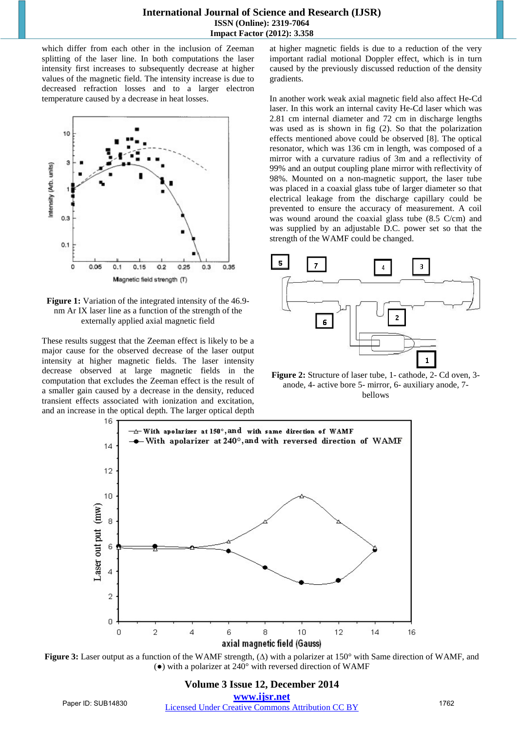which differ from each other in the inclusion of Zeeman splitting of the laser line. In both computations the laser intensity first increases to subsequently decrease at higher values of the magnetic field. The intensity increase is due to decreased refraction losses and to a larger electron temperature caused by a decrease in heat losses.



**Figure 1:** Variation of the integrated intensity of the 46.9 nm Ar IX laser line as a function of the strength of the externally applied axial magnetic field

These results suggest that the Zeeman effect is likely to be a major cause for the observed decrease of the laser output intensity at higher magnetic fields. The laser intensity decrease observed at large magnetic fields in the computation that excludes the Zeeman effect is the result of a smaller gain caused by a decrease in the density, reduced transient effects associated with ionization and excitation, and an increase in the optical depth. The larger optical depth at higher magnetic fields is due to a reduction of the very important radial motional Doppler effect, which is in turn caused by the previously discussed reduction of the density gradients.

In another work weak axial magnetic field also affect He-Cd laser. In this work an internal cavity He-Cd laser which was 2.81 cm internal diameter and 72 cm in discharge lengths was used as is shown in fig (2). So that the polarization effects mentioned above could be observed [8]. The optical resonator, which was 136 cm in length, was composed of a mirror with a curvature radius of 3m and a reflectivity of 99% and an output coupling plane mirror with reflectivity of 98%. Mounted on a non-magnetic support, the laser tube was placed in a coaxial glass tube of larger diameter so that electrical leakage from the discharge capillary could be prevented to ensure the accuracy of measurement. A coil was wound around the coaxial glass tube (8.5 C/cm) and was supplied by an adjustable D.C. power set so that the strength of the WAMF could be changed.



**Figure 2:** Structure of laser tube, 1- cathode, 2- Cd oven, 3 anode, 4- active bore 5- mirror, 6- auxiliary anode, 7 bellows



**Figure 3:** Laser output as a function of the WAMF strength, (∆) with a polarizer at 150° with Same direction of WAMF, and (**●**) with a polarizer at 240° with reversed direction of WAMF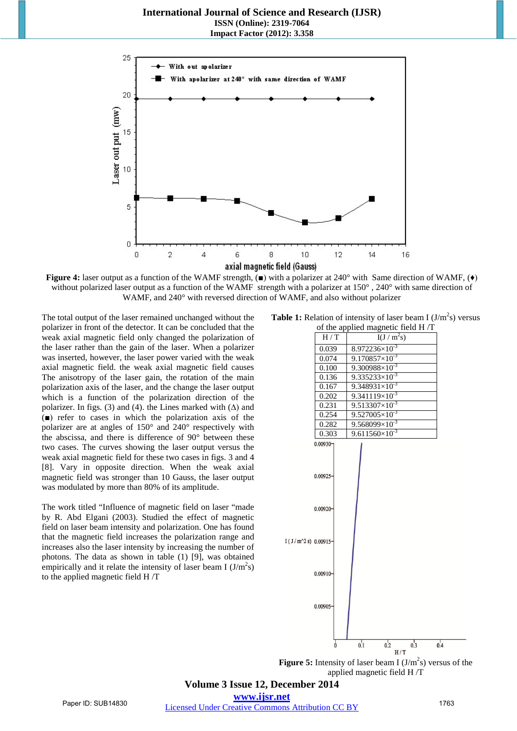**International Journal of Science and Research (IJSR) ISSN (Online): 2319-7064 Impact Factor (2012): 3.358**



**Figure 4:** laser output as a function of the WAMF strength, (■) with a polarizer at 240° with Same direction of WAMF, (◆) without polarized laser output as a function of the WAMF strength with a polarizer at 150°, 240° with same direction of WAMF, and 240° with reversed direction of WAMF, and also without polarizer

The total output of the laser remained unchanged without the polarizer in front of the detector. It can be concluded that the weak axial magnetic field only changed the polarization of the laser rather than the gain of the laser. When a polarizer was inserted, however, the laser power varied with the weak axial magnetic field. the weak axial magnetic field causes The anisotropy of the laser gain, the rotation of the main polarization axis of the laser, and the change the laser output which is a function of the polarization direction of the polarizer. In figs. (3) and (4). the Lines marked with  $(∆)$  and (■) refer to cases in which the polarization axis of the polarizer are at angles of 150° and 240° respectively with the abscissa, and there is difference of 90° between these two cases. The curves showing the laser output versus the weak axial magnetic field for these two cases in figs. 3 and 4 [8]. Vary in opposite direction. When the weak axial magnetic field was stronger than 10 Gauss, the laser output was modulated by more than 80% of its amplitude.

The work titled "Influence of magnetic field on laser "made by R. Abd Elgani (2003). Studied the effect of magnetic field on laser beam intensity and polarization. One has found that the magnetic field increases the polarization range and increases also the laser intensity by increasing the number of photons. The data as shown in table (1) [9], was obtained empirically and it relate the intensity of laser beam I  $(J/m^2s)$ to the applied magnetic field H /T

| <b>Table 1:</b> Relation of intensity of laser beam I $(J/m^2s)$ versus |
|-------------------------------------------------------------------------|
| of the applied magnetic field $H/T$                                     |



**Figure 5:** Intensity of laser beam I  $(J/m^2s)$  versus of the applied magnetic field H /T

**Volume 3 Issue 12, December 2014 www.ijsr.net**

Paper ID: SUB14830 [Licensed Under Creative Commons Attribution CC BY](http://creativecommons.org/licenses/by/4.0/) 1763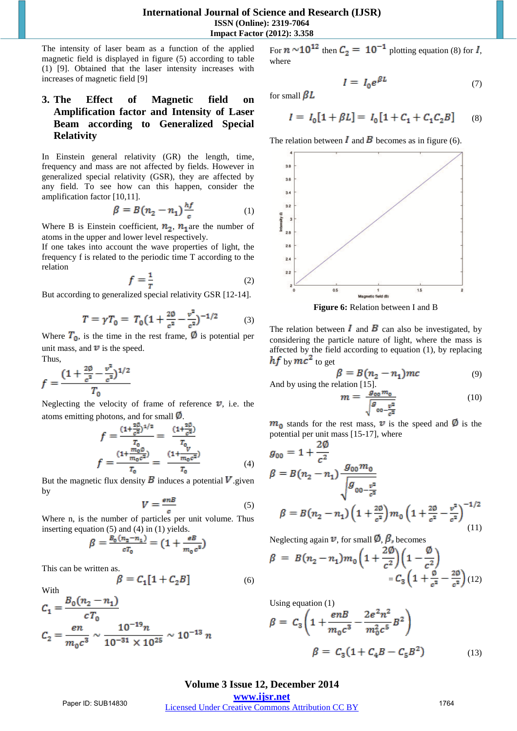The intensity of laser beam as a function of the applied magnetic field is displayed in figure (5) according to table (1) [9]. Obtained that the laser intensity increases with increases of magnetic field [9]

## **3. The Effect of Magnetic field on Amplification factor and Intensity of Laser Beam according to Generalized Special Relativity**

In Einstein general relativity (GR) the length, time, frequency and mass are not affected by fields. However in generalized special relativity (GSR), they are affected by any field. To see how can this happen, consider the amplification factor [10,11].

$$
\beta = B(n_2 - n_1) \frac{hf}{c} \tag{1}
$$

Where B is Einstein coefficient,  $n_2$ ,  $n_1$  are the number of atoms in the upper and lower level respectively.

If one takes into account the wave properties of light, the frequency f is related to the periodic time T according to the relation

$$
f = \frac{1}{r} \tag{2}
$$

But according to generalized special relativity GSR [12-14].

$$
T = \gamma T_0 = T_0 \left( 1 + \frac{2\phi}{c^2} - \frac{v^2}{c^2} \right)^{-1/2} \tag{3}
$$

Where  $T_0$ , is the time in the rest frame,  $\emptyset$  is potential per unit mass, and  $\mathbb{D}$  is the speed.

Thus,

$$
f = \frac{(1 + \frac{20}{c^2} - \frac{v^2}{c^2})^{1/2}}{T_0}
$$

Neglecting the velocity of frame of reference  $\mathbb{V}$ , i.e. the atoms emitting photons, and for small  $\emptyset$ .

$$
f = \frac{(1 + \frac{2\beta}{c^2})^{1/2}}{T_0} = \frac{(1 + \frac{2\beta}{c^2})}{T_0}
$$

$$
f = \frac{(1 + \frac{m_0\beta}{m_0c^2})}{T_0} = \frac{(1 + \frac{V}{m_0c^2})}{T_0}
$$
(4)

But the magnetic flux density  $\bf{B}$  induces a potential  $\bf{V}$  given by

$$
V = \frac{\epsilon n B}{c} \tag{5}
$$

Where n, is the number of particles per unit volume. Thus inserting equation (5) and (4) in (1) yields.

$$
\beta = \frac{B_0(n_2 - n_1)}{cT_0} = (1 + \frac{eB}{m_0 c^3})
$$

This can be written as.<br> $\beta = C_1$ 

With

$$
\left[1+C_2B\right] \quad \ \hspace{1.5cm} (6)
$$

$$
C_1 = \frac{B_0(n_2 - n_1)}{cT_0}
$$
  

$$
C_2 = \frac{en}{m_0 c^3} \sim \frac{10^{-19}n}{10^{-31} \times 10^{25}} \sim 10^{-13} n
$$

For  $n \sim 10^{12}$  then  $C_2 = 10^{-1}$  plotting equation (8) for  $I$ , where

 $I = I_0 e^{\beta L}$ for small  $\beta L$ 

$$
I=\,I_0[\mathbf{1}+\beta L]=\,I_0\,[\mathbf{1}+C_1+C_1C_2B]\qquad (8)
$$

(7)

The relation between  $\bf{I}$  and  $\bf{B}$  becomes as in figure (6).



**Figure 6:** Relation between I and B

The relation between  $\bf{I}$  and  $\bf{B}$  can also be investigated, by considering the particle nature of light, where the mass is affected by the field according to equation (1), by replacing  $hf$  by  $mc^2$  to get

$$
\beta = B(n_2 - n_1)mc \tag{9}
$$

And by using the relation [15].

$$
m = \frac{g_{00}m_0}{\sqrt{g_{00} - \frac{v^2}{c^2}}} \tag{10}
$$

 $m_{\rm n}$  stands for the rest mass,  $\nu$  is the speed and  $\nu$  is the potential per unit mass [15-17], where

$$
g_{00} = 1 + \frac{2\varphi}{c^2}
$$
  
\n
$$
\beta = B(n_2 - n_1) \frac{g_{00}m_0}{\sqrt{g_{00 - \frac{v^2}{c^2}}}}
$$
  
\n
$$
\beta = B(n_2 - n_1) \left(1 + \frac{2\varphi}{c^2}\right) m_0 \left(1 + \frac{2\varphi}{c^2} - \frac{v^2}{c^2}\right)^{-1/2}
$$
  
\n(11)

Neglecting again  $\mathbf{\vec{v}}$ , for small  $\mathbf{\vec{D}}$ ,  $\mathbf{\beta}_n$  becomes

$$
\beta = B(n_2 - n_1)m_0 \left(1 + \frac{2\emptyset}{c^2}\right) \left(1 - \frac{\emptyset}{c^2}\right) = C_3 \left(1 + \frac{\emptyset}{c^2} - \frac{2\emptyset}{c^2}\right) (12)
$$

Using equation (1)

$$
\beta = C_3 \left( 1 + \frac{enB}{m_0 c^3} - \frac{2e^2 n^2}{m_0^2 c^5} B^2 \right)
$$
  

$$
\beta = C_3 (1 + C_4 B - C_5 B^2)
$$
 (13)

**Volume 3 Issue 12, December 2014 www.ijsr.net**

Paper ID: SUB14830 [Licensed Under Creative Commons Attribution CC BY](http://creativecommons.org/licenses/by/4.0/) 1764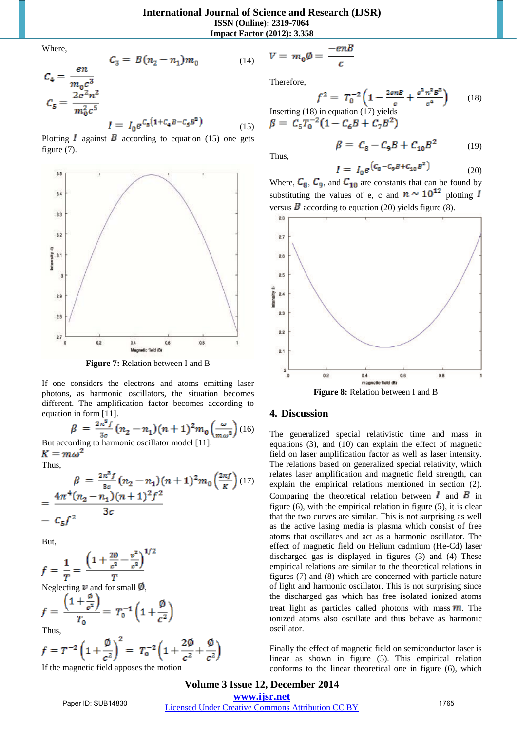**Impact Factor (2012): 3.358**

Where,

$$
C_4 = \frac{en}{m_0 c^3}
$$
  
\n
$$
C_5 = \frac{2e^2 n^2}{m_0^2 c^5}
$$
  
\n
$$
I = I_0 e^{C_5(1 + C_4 B - C_5 B^2)}
$$
  
\n(15)

Plotting  $\vec{l}$  against  $\vec{B}$  according to equation (15) one gets figure (7).



**Figure 7:** Relation between I and B

If one considers the electrons and atoms emitting laser photons, as harmonic oscillators, the situation becomes different. The amplification factor becomes according to equation in form [11].

$$
\beta = \frac{2\pi^3 f}{3c} (n_2 - n_1)(n+1)^2 m_0 \left(\frac{\omega}{m\omega^2}\right)
$$
 (16)

But according to harmonic oscillator model [11].  $K = m\omega^2$ 

Thus,

$$
\beta = \frac{2\pi^8 f}{3c} (n_2 - n_1)(n+1)^2 m_0 \left(\frac{2\pi f}{K}\right) (17)
$$
  
= 
$$
\frac{4\pi^4 (n_2 - n_1)(n+1)^2 f^2}{3c}
$$
  
= 
$$
C_5 f^2
$$

But,

$$
f = \frac{1}{T} = \frac{\left(1 + \frac{20}{c^2} - \frac{v^2}{c^2}\right)^{1/2}}{T}
$$

Neglecting  $\nu$  and for small  $\nu$ ,

$$
f = \frac{\left(1 + \frac{\omega}{c^2}\right)}{T_0} = T_0^{-1} \left(1 + \frac{\omega}{c^2}\right)
$$
  
Thus,

$$
f = T^{-2} \left( 1 + \frac{\emptyset}{c^2} \right)^2 = T_0^{-2} \left( 1 + \frac{2\emptyset}{c^2} + \frac{\emptyset}{c^2} \right)
$$

If the magnetic field apposes the motion

$$
V = m_0 \emptyset = \frac{-enB}{c}
$$

Therefore,

$$
f^{2} = T_{0}^{-2} \left( 1 - \frac{2e n B}{c} + \frac{e^{2} n^{2} B^{2}}{c^{4}} \right)
$$
 (18)

Inserting (18) in equation (17) yields<br>  $\beta = C_{\rm s} T_0^{-2} (1 - C_{\rm \epsilon} B + C_7 B^2)$ 

$$
\beta=\ C_8-C_9B+C_{10}B^2\qquad \quad \ \ (19)
$$

Thus,

$$
I = I_0 e^{(c_8 - c_9 B + c_{10} B^2)}
$$
 (20)

Where,  $C_8$ ,  $C_9$ , and  $C_{10}$  are constants that can be found by substituting the values of e, c and  $n \sim 10^{12}$  plotting I versus  $\vec{B}$  according to equation (20) yields figure (8).



**Figure 8:** Relation between I and B

#### **4. Discussion**

The generalized special relativistic time and mass in equations (3), and (10) can explain the effect of magnetic field on laser amplification factor as well as laser intensity. The relations based on generalized special relativity, which relates laser amplification and magnetic field strength, can explain the empirical relations mentioned in section (2). Comparing the theoretical relation between  $\mathbf{I}$  and  $\mathbf{B}$  in figure (6), with the empirical relation in figure (5), it is clear that the two curves are similar. This is not surprising as well as the active lasing media is plasma which consist of free atoms that oscillates and act as a harmonic oscillator. The effect of magnetic field on Helium cadmium (He-Cd) laser discharged gas is displayed in figures (3) and (4) These empirical relations are similar to the theoretical relations in figures (7) and (8) which are concerned with particle nature of light and harmonic oscillator. This is not surprising since the discharged gas which has free isolated ionized atoms treat light as particles called photons with mass  $\mathbf{m}$ . The ionized atoms also oscillate and thus behave as harmonic oscillator.

Finally the effect of magnetic field on semiconductor laser is linear as shown in figure (5). This empirical relation conforms to the linear theoretical one in figure (6), which

#### **Volume 3 Issue 12, December 2014 www.ijsr.net**

Paper ID: SUB14830 [Licensed Under Creative Commons Attribution CC BY](http://creativecommons.org/licenses/by/4.0/) 1765